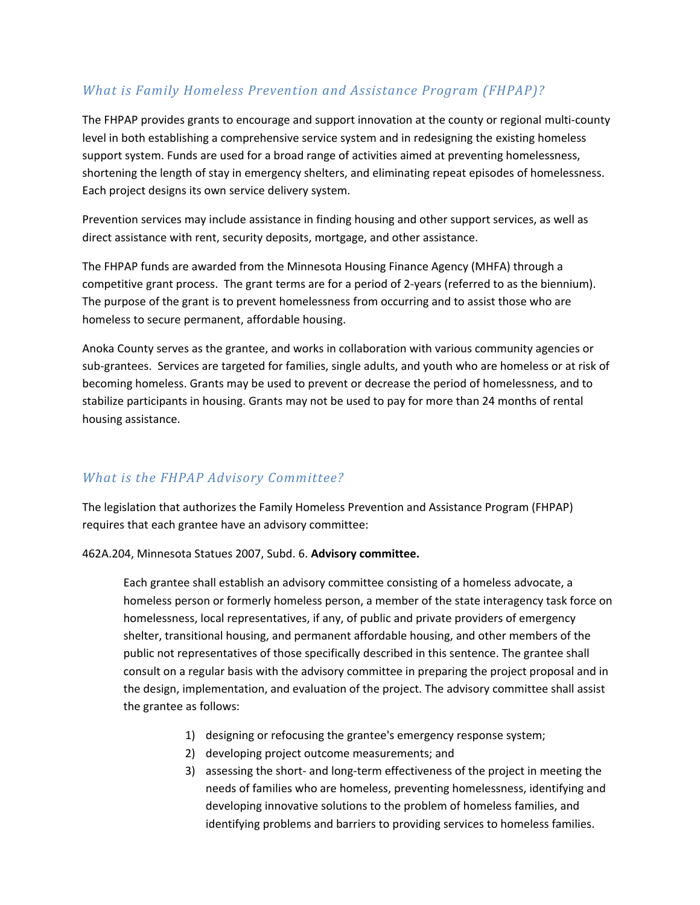## *What is Family Homeless Prevention and Assistance Program (FHPAP)?*

The FHPAP provides grants to encourage and support innovation at the county or regional multi-county level in both establishing a comprehensive service system and in redesigning the existing homeless support system. Funds are used for a broad range of activities aimed at preventing homelessness, shortening the length of stay in emergency shelters, and eliminating repeat episodes of homelessness. Each project designs its own service delivery system.

Prevention services may include assistance in finding housing and other support services, as well as direct assistance with rent, security deposits, mortgage, and other assistance.

The FHPAP funds are awarded from the Minnesota Housing Finance Agency (MHFA) through a competitive grant process. The grant terms are for a period of 2-years (referred to as the biennium). The purpose of the grant is to prevent homelessness from occurring and to assist those who are homeless to secure permanent, affordable housing.

Anoka County serves as the grantee, and works in collaboration with various community agencies or sub-grantees. Services are targeted for families, single adults, and youth who are homeless or at risk of becoming homeless. Grants may be used to prevent or decrease the period of homelessness, and to stabilize participants in housing. Grants may not be used to pay for more than 24 months of rental housing assistance.

### *What is the FHPAP Advisory Committee?*

The legislation that authorizes the Family Homeless Prevention and Assistance Program (FHPAP) requires that each grantee have an advisory committee:

462A.204, Minnesota Statues 2007, Subd. 6. **Advisory committee.**

Each grantee shall establish an advisory committee consisting of a homeless advocate, a homeless person or formerly homeless person, a member of the state interagency task force on homelessness, local representatives, if any, of public and private providers of emergency shelter, transitional housing, and permanent affordable housing, and other members of the public not representatives of those specifically described in this sentence. The grantee shall consult on a regular basis with the advisory committee in preparing the project proposal and in the design, implementation, and evaluation of the project. The advisory committee shall assist the grantee as follows:

- 1) designing or refocusing the grantee's emergency response system;
- 2) developing project outcome measurements; and
- 3) assessing the short- and long-term effectiveness of the project in meeting the needs of families who are homeless, preventing homelessness, identifying and developing innovative solutions to the problem of homeless families, and identifying problems and barriers to providing services to homeless families.